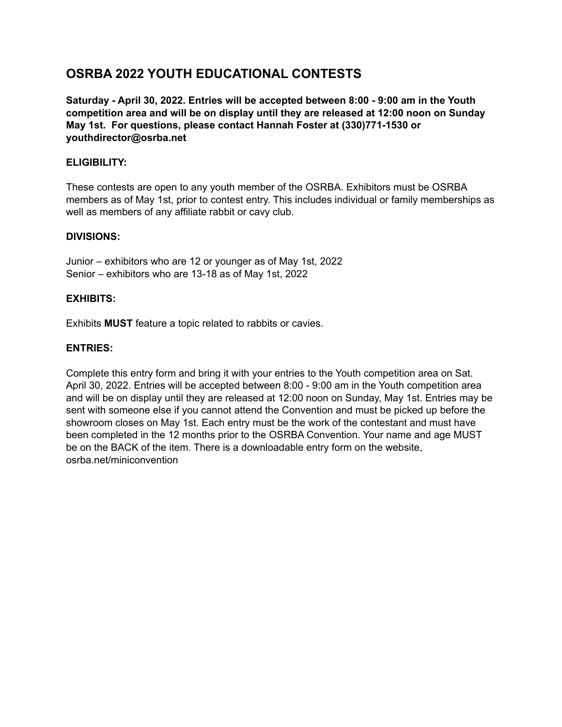# **OSRBA 2022 YOUTH EDUCATIONAL CONTESTS**

**Saturday - April 30, 2022. Entries will be accepted between 8:00 - 9:00 am in the Youth competition area and will be on display until they are released at 12:00 noon on Sunday May 1st. For questions, please contact Hannah Foster at (330)771-1530 or youthdirector@osrba.net**

## **ELIGIBILITY:**

These contests are open to any youth member of the OSRBA. Exhibitors must be OSRBA members as of May 1st, prior to contest entry. This includes individual or family memberships as well as members of any affiliate rabbit or cavy club.

#### **DIVISIONS:**

Junior – exhibitors who are 12 or younger as of May 1st, 2022 Senior – exhibitors who are 13-18 as of May 1st, 2022

### **EXHIBITS:**

Exhibits **MUST** feature a topic related to rabbits or cavies.

#### **ENTRIES:**

Complete this entry form and bring it with your entries to the Youth competition area on Sat. April 30, 2022. Entries will be accepted between 8:00 - 9:00 am in the Youth competition area and will be on display until they are released at 12:00 noon on Sunday, May 1st. Entries may be sent with someone else if you cannot attend the Convention and must be picked up before the showroom closes on May 1st. Each entry must be the work of the contestant and must have been completed in the 12 months prior to the OSRBA Convention. Your name and age MUST be on the BACK of the item. There is a downloadable entry form on the website, osrba.net/miniconvention